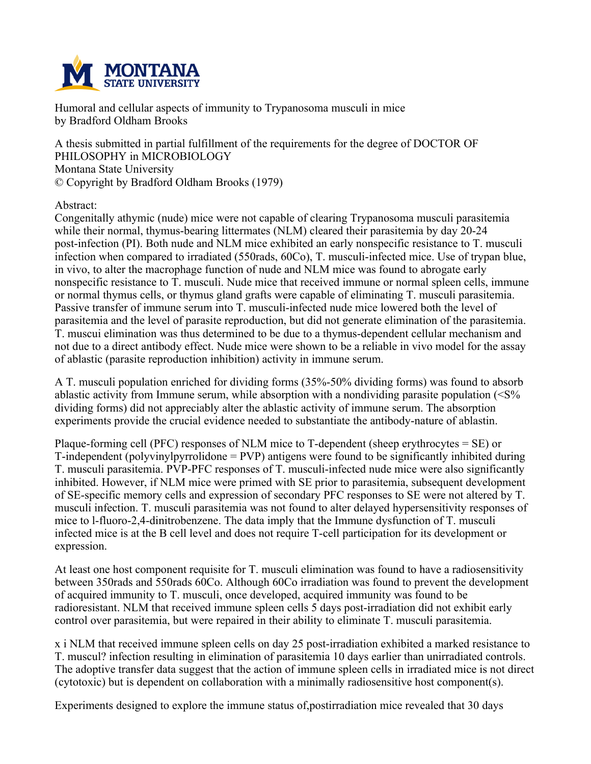

**Humoral and cellular aspects of immunity to Trypanosoma musculi in mice by Bradford Oldham Brooks**

**A thesis submitted in partial fulfillment of the requirements for the degree of DOCTOR OF PHILOSOPHY in MICROBIOLOGY Montana State University © Copyright by Bradford Oldham Brooks (1979)**

**Abstract:**

**Congenitally athymic (nude) mice were not capable of clearing Trypanosoma musculi parasitemia while their normal, thymus-bearing littermates (NLM) cleared their parasitemia by day 20-24 post-infection (PI). Both nude and NLM mice exhibited an early nonspecific resistance to T. musculi infection when compared to irradiated (550rads, 60Co), T. musculi-infected mice. Use of trypan blue, in vivo, to alter the macrophage function of nude and NLM mice was found to abrogate early nonspecific resistance to T. musculi. Nude mice that received immune or normal spleen cells, immune or normal thymus cells, or thymus gland grafts were capable of eliminating T. musculi parasitemia. Passive transfer of immune serum into T. musculi-infected nude mice lowered both the level of parasitemia and the level of parasite reproduction, but did not generate elimination of the parasitemia. T. muscui elimination was thus determined to be due to a thymus-dependent cellular mechanism and** not due to a direct antibody effect. Nude mice were shown to be a reliable in vivo model for the assay **of ablastic (parasite reproduction inhibition) activity in immune serum.**

**A T. musculi population enriched for dividing forms (35%-50% dividing forms) was found to absorb ablastic activity from Immune serum, while absorption with a nondividing parasite population (<S% dividing forms) did not appreciably alter the ablastic activity of immune serum. The absorption experiments provide the crucial evidence needed to substantiate the antibody-nature of ablastin.**

**Plaque-forming cell (PFC) responses of NLM mice to T-dependent (sheep erythrocytes = SE) or T-independent (polyvinylpyrrolidone = PVP) antigens were found to be significantly inhibited during T. musculi parasitemia. PVP-PFC responses of T. musculi-infected nude mice were also significantly inhibited. However, if NLM mice were primed with SE prior to parasitemia, subsequent development of SE-specific memory cells and expression of secondary PFC responses to SE were not altered by T. musculi infection. T. musculi parasitemia was not found to alter delayed hypersensitivity responses of mice to l-fluoro-2,4-dinitrobenzene. The data imply that the Immune dysfunction of T. musculi** infected mice is at the B cell level and does not require T-cell participation for its development or **expression.**

**At least one host component requisite for T. musculi elimination was found to have a radiosensitivity between 350rads and 550rads 60Co. Although 60Co irradiation was found to prevent the development of acquired immunity to T. musculi, once developed, acquired immunity was found to be radioresistant. NLM that received immune spleen cells 5 days post-irradiation did not exhibit early control over parasitemia, but were repaired in their ability to eliminate T. musculi parasitemia.**

**x i NLM that received immune spleen cells on day 25 post-irradiation exhibited a marked resistance to T. muscul? infection resulting in elimination of parasitemia 10 days earlier than unirradiated controls.** The adoptive transfer data suggest that the action of immune spleen cells in irradiated mice is not direct **(cytotoxic) but is dependent on collaboration with a minimally radiosensitive host component(s).**

**Experiments designed to explore the immune status of,postirradiation mice revealed that 30 days**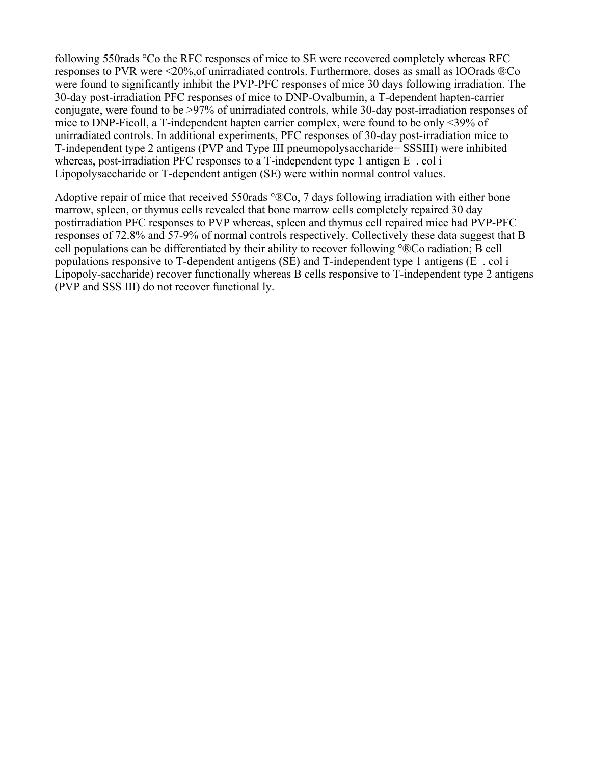**following 550rads °Co the RFC responses of mice to SE were recovered completely whereas RFC responses to PVR were <20%,of unirradiated controls. Furthermore, doses as small as lOOrads ®Co were found to significantly inhibit the PVP-PFC responses of mice 30 days following irradiation. The 30-day post-irradiation PFC responses of mice to DNP-Ovalbumin, a T-dependent hapten-carrier conjugate, were found to be >97% of unirradiated controls, while 30-day post-irradiation responses of mice to DNP-Ficoll, a T-independent hapten carrier complex, were found to be only <39% of unirradiated controls. In additional experiments, PFC responses of 30-day post-irradiation mice to T-independent type 2 antigens (PVP and Type III pneumopolysaccharide= SSSIII) were inhibited whereas, post-irradiation PFC responses to a T-independent type 1 antigen E\_. col i Lipopolysaccharide or T-dependent antigen (SE) were within normal control values.**

**Adoptive repair of mice that received 550rads °®Co, 7 days following irradiation with either bone marrow, spleen, or thymus cells revealed that bone marrow cells completely repaired 30 day postirradiation PFC responses to PVP whereas, spleen and thymus cell repaired mice had PVP-PFC responses of 72.8% and 57-9% of normal controls respectively. Collectively these data suggest that B cell populations can be differentiated by their ability to recover following °®Co radiation; B cell populations responsive to T-dependent antigens (SE) and T-independent type 1 antigens (E\_. col i Lipopoly-saccharide) recover functionally whereas B cells responsive to T-independent type 2 antigens (PVP and SSS III) do not recover functional ly.**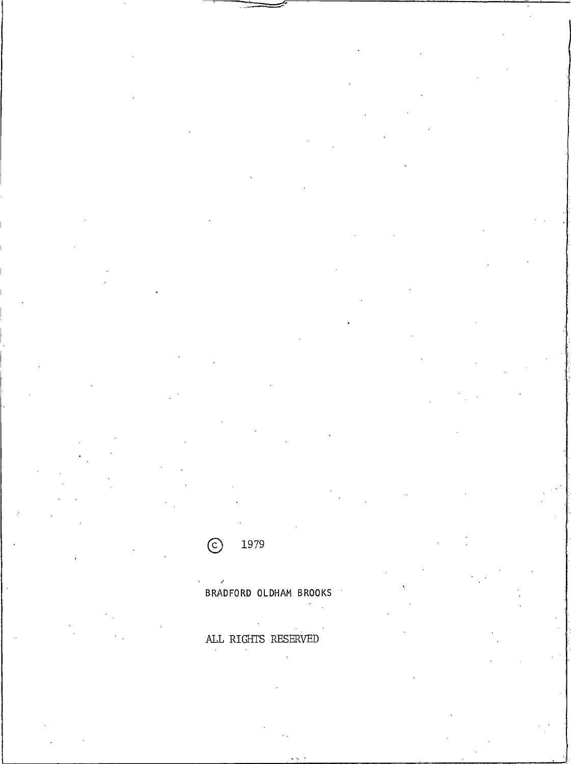1979  $\odot$ 

BRADFORD OLDHAM BROOKS  $\sigma_{\rm{max}}$ 

 $\mathcal{L}$ ALL RIGHTS RESERVED  $\sim$ 

 $\ddot{\phantom{a}}$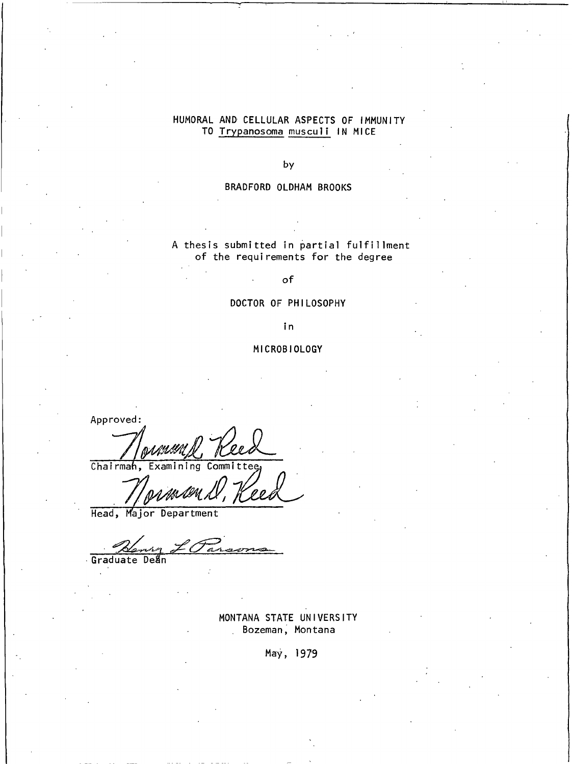# HUMORAL AND CELLULAR ASPECTS OF IMMUNITY TO Trypanosoma musculi IN MICE

by

#### BRADFORD OLDHAM BROOKS

A thesis submitted in partial fulfillment of the requirements for the degree

of

#### DOCTOR OF PHILOSOPHY

in

## MICROBIOLOGY

Approved:

Chairmah, Examining Comm

Head, Major Department

Deã

Graduate

MONTANA STATE UNIVERSITY Bozeman, Montana

May, 1979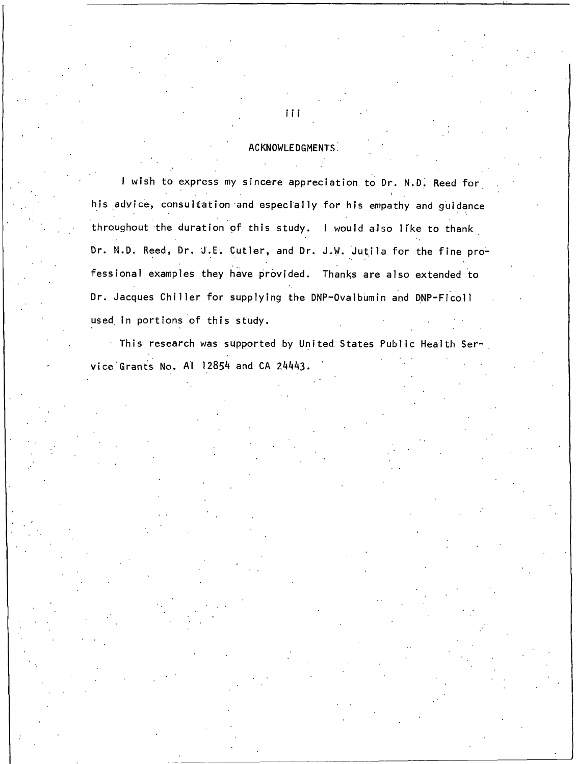#### ACKNOWLEDGMENTS

I wish to express my sincere appreciation to Dr. N.D. Reed for his advice, consultation and especially for his empathy and guidance throughout the duration of this study. I would also like to thank Dr. N.D. Reed, Dr. J.E. Cutler, and Dr. J.W. Jutila for the fine professional examples they have provided. Thanks are also extended to Dr. Jacques Chiller for supplying the DNP-Ovalbumin and DNP-Ficoll used in portions of this study.

This research was supported by United States Public Health Service Grants No. Al 12854 and CA 24443.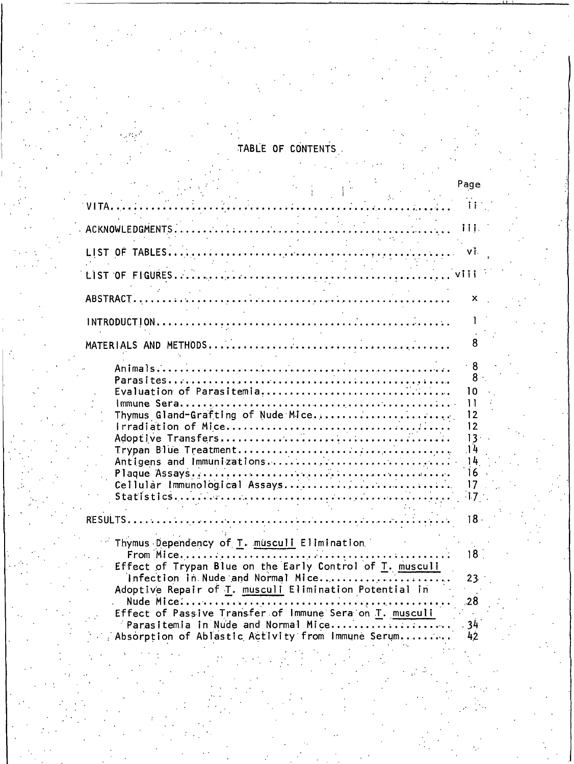# TABLE OF CONTENTS

|                                                                                             | Page                     |
|---------------------------------------------------------------------------------------------|--------------------------|
| VITA<br><u>.</u> .                                                                          | Ħ                        |
|                                                                                             | iii.                     |
|                                                                                             | VĪ.                      |
|                                                                                             |                          |
|                                                                                             | х                        |
|                                                                                             |                          |
|                                                                                             |                          |
|                                                                                             | 8<br>8.                  |
| Thymus Gland-Grafting of Nude Mice                                                          | 10<br>$\mathbf{H}$<br>12 |
|                                                                                             | 12<br>13 <sup>1</sup>    |
| Antigens and Immunizations                                                                  | 14<br>14                 |
| Cellular Immunological Assays                                                               | 16<br>17<br>17           |
|                                                                                             | 18                       |
| Thymus Dependency of T. musculi Elimination                                                 |                          |
| Effect of Trypan Blue on the Early Control of T. musculi                                    | 18 1                     |
| Infection in Nude and Normal Mice<br>Adoptive Repair of T. musculi Elimination Potential in | 23 <sub>1</sub>          |
| Effect of Passive Transfer of Immune Sera on T. musculi                                     | .28                      |
| Parasitemia in Nude and Normal Mice<br>Absorption of Ablastic Activity from Immune Serum    | 34<br>42                 |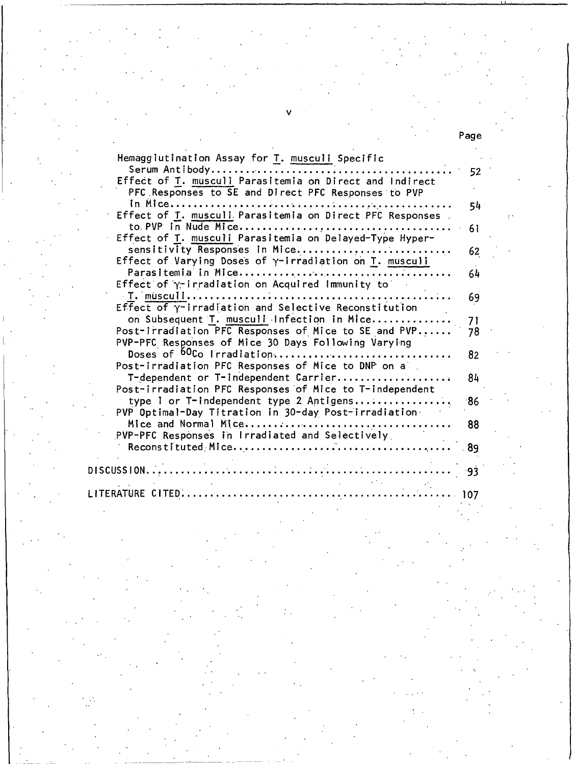| Hemagglutination Assay for T. musculi Specific                                                                                   |      |
|----------------------------------------------------------------------------------------------------------------------------------|------|
| Serum Antibody<br>Effect of T. musculi Parasitemia on Direct and Indirect<br>PFC Responses to SE and Direct PFC Responses to PVP | 52   |
|                                                                                                                                  | 54   |
| Effect of T. musculi Parasitemia on Direct PFC Responses                                                                         |      |
| Effect of T. musculi Parasitemia on Delayed-Type Hyper-                                                                          | 61   |
| sensitivity Responses in Mice                                                                                                    | 62   |
| Effect of Varying Doses of y-irradiation on T. musculi                                                                           |      |
| Effect of $\gamma$ -irradiation on Acquired Immunity to                                                                          | 64   |
|                                                                                                                                  | 69   |
| Effect of $\gamma$ -irradiation and Selective Reconstitution                                                                     |      |
| on Subsequent T. musculi Infection in Mice                                                                                       | 71   |
| Post-irradiation PFC Responses of Mice to SE and PVP<br>PVP-PFC Responses of Mice 30 Days Following Varying                      | 78   |
| Doses of <sup>60</sup> Co Irradiation                                                                                            | 82   |
| Post-irradiation PFC Responses of Mice to DNP on a                                                                               |      |
| T-dependent or T-independent Carrier<br>Post-irradiation PFC Responses of Mice to T-independent                                  | 84   |
| type I or T-independent type 2 Antigens                                                                                          | ∙86  |
| PVP Optimal-Day Titration in 30-day Post-irradiation                                                                             |      |
|                                                                                                                                  | 88   |
| PVP-PFC Responses in Irradiated and Selectively                                                                                  | . 89 |
|                                                                                                                                  |      |
| $DISCUSSION.$                                                                                                                    | -93  |
|                                                                                                                                  |      |

LITERATURE CITED....

107

Page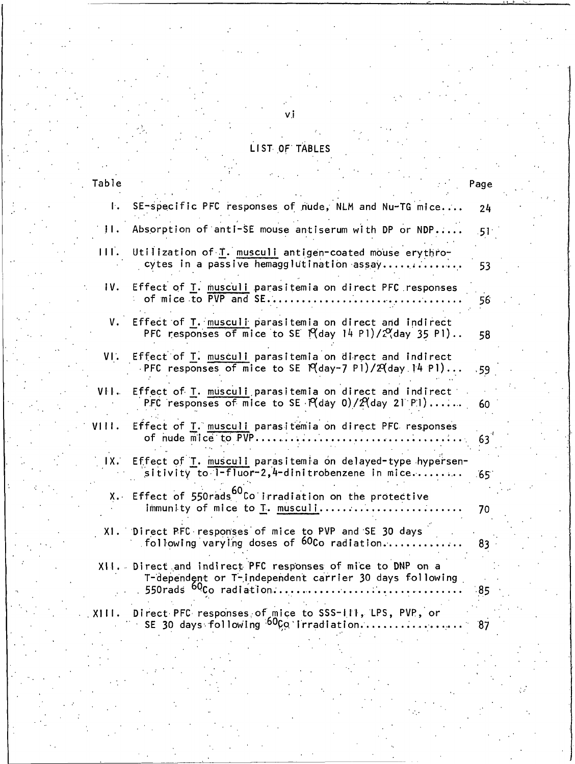|  |  | IST OF TABLE |  |
|--|--|--------------|--|
|  |  |              |  |

| Table |                                                                                                                                                                            | Page             |
|-------|----------------------------------------------------------------------------------------------------------------------------------------------------------------------------|------------------|
| Ŀ.    | SE-specific PFC responses of nude, NLM and Nu-TG mice                                                                                                                      | 24               |
| Ħ.    | Absorption of anti-SE mouse antiserum with DP or NDP                                                                                                                       | .51 <sub>1</sub> |
| 111.  | Utilization of T. musculi antigen-coated mouse erythro-<br>cytes in a passive hemagglutination assay                                                                       | 53               |
| IV.   | Effect of T. musculi parasitemia on direct PFC responses<br>of mice to PVP and SE                                                                                          | 56               |
| v.    | Effect of T. musculi parasitemia on direct and indirect<br>PFC responses of mice to SE $P(day 14 P1)/2Q(day 35 P1)$ .                                                      | 58               |
| VI.   | Effect of T. musculi parasitemia on direct and indirect<br>PFC responses of mice to SE $P(day-7 P1)/2(day 14 P1)$                                                          | .59 <sub>1</sub> |
| VH.   | Effect of T. musculi parasitemia on direct and indirect<br>PFC responses of mice to SE $P$ (day 0)/ $P$ (day 21 P1)                                                        | 60               |
| VIII. | Effect of T. musculi parasitemia on direct PFC responses<br>of nude mice to PVP                                                                                            | 63 <sup>o</sup>  |
| 1X.   | Effect of T. musculi parasitemia on delayed-type hypersen-<br>sitivity to $1-fluor-2$ , $4-dini$ trobenzene in mice                                                        | $65^\circ$       |
|       | X. Effect of 550rads <sup>bu</sup> Co irradiation on the protective<br>immunity of mice to T. musculi                                                                      | 70               |
|       | XI. Direct PFC responses of mice to PVP and SE 30 days<br>following varying doses of $60$ Co radiation                                                                     | 83               |
|       | XII. Direct and indirect PFC responses of mice to DNP on a<br>T-dependent or T-independent carrier 30 days following<br>550rads <sup>60</sup> Co radiation<br>. <b>.</b> . | $-85$            |
| XIII. | Direct PFC responses of mice to SSS-111, LPS, PVP, or<br>SE 30 days following <sup>50</sup> Co irradiation                                                                 | 87               |
|       |                                                                                                                                                                            |                  |

vj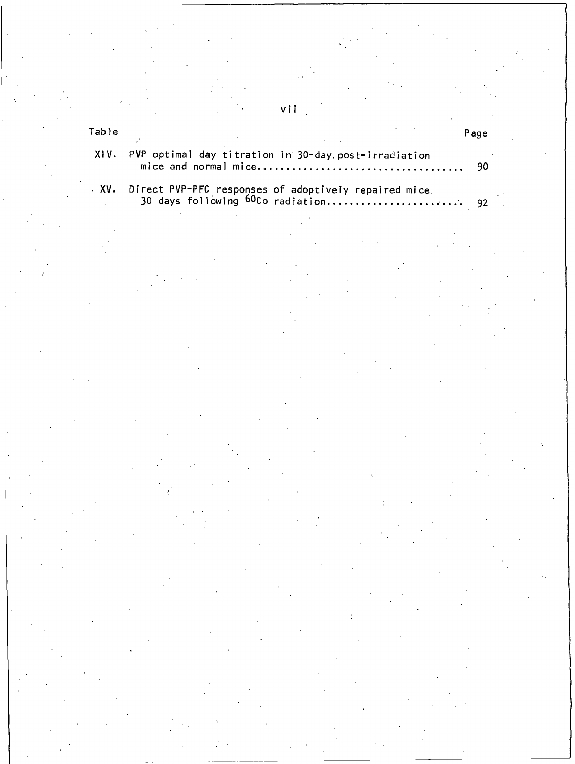# vii

| XIV. PVP optimal day titration in 30-day post-irradiation |  |
|-----------------------------------------------------------|--|
|                                                           |  |

Table

 $\cdot$  XV.  $\mathcal{L}_{\text{max}}$ 

Page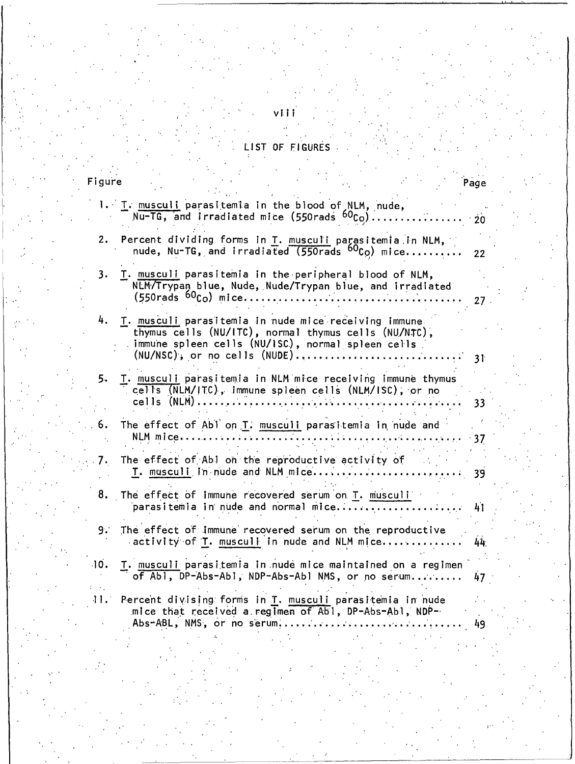# LIST OF FIGURES

| Figure |                                                                                                                                                                                                        | Page     |  |
|--------|--------------------------------------------------------------------------------------------------------------------------------------------------------------------------------------------------------|----------|--|
|        | 1. I. musculi parasitemia in the blood of NLM, nude,<br>Nu-TG, and irradiated mice (550rads $^{60}$ Co)                                                                                                | 20       |  |
| 2.     | Percent dividing forms in T. musculi parasitemia in NLM,<br>nude, Nu-TG, and irradiated (550rads $^{60}$ Co) mice                                                                                      | 22       |  |
| 3.     | T. musculi parasitemia in the peripheral blood of NLM,<br>NLM/Trypan blue, Nude, Nude/Trypan blue, and irradiated                                                                                      |          |  |
| 4.     | T. musculi parasitemia in nude mice receiving immune<br>thymus cells (NU/ITC), normal thymus cells (NU/NTC),<br>immune spleen cells (NU/ISC), normal spleen cells<br>$(NU/NSC)$ , or no cells $(NUDE)$ | 27<br>31 |  |
| 5.     | T. musculi parasitemia in NLM mice receiving immune thymus<br>cells (NLM/ITC), immune spleen cells (NLM/ISC), or no<br>$cells$ (NLM)                                                                   | 33       |  |
| 6.     | The effect of Abl on T. musculi parasitemia in nude and<br>NLM mice<br>$\ddotsc$                                                                                                                       | - 37     |  |
| 7.     | The effect of Abl on the reproductive activity of<br>T. musculi in nude and NLM mice                                                                                                                   | 39       |  |
| 8.     | The effect of immune recovered serum on T. musculi                                                                                                                                                     | 41       |  |
| 9.     | The effect of immune recovered serum on the reproductive<br>activity of T. musculi in nude and NLM mice                                                                                                | 44.      |  |
| 10.    | I. musculi parasitemia in nude mice maintained on a regimen<br>of Abl, DP-Abs-Abl, NDP-Abs-Abl NMS, or no serum                                                                                        | 47       |  |
| 4 L.A  | Percent divising forms in T. musculi parasitemia in nude<br>mice that received a regimen of Abl, DP-Abs-Abl, NDP-<br>Abs-ABL, NMS, or no serum                                                         | 49       |  |
|        |                                                                                                                                                                                                        |          |  |

viii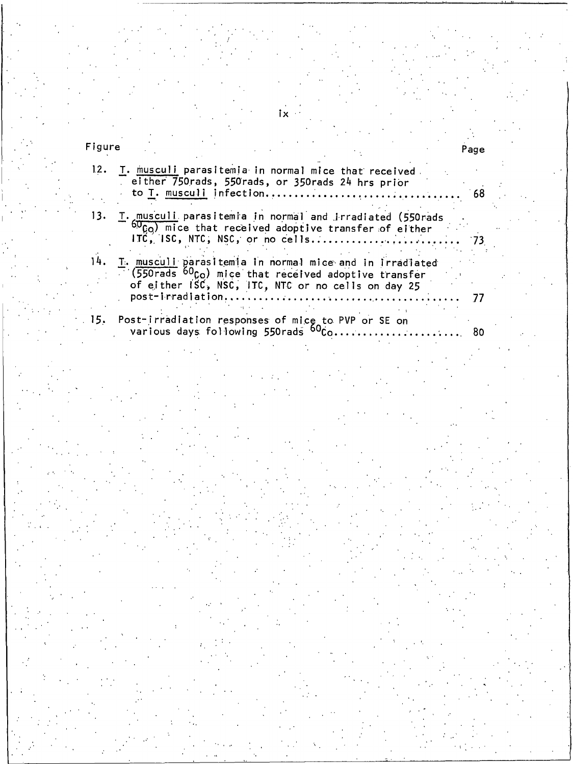| Figure |                                                                                                                                                                                                | Page |
|--------|------------------------------------------------------------------------------------------------------------------------------------------------------------------------------------------------|------|
| 12.    | T. musculi parasitemia in normal mice that received<br>either 750 rads, 550 rads, or 350 rads 24 hrs prior<br>to T. musculi infection                                                          | 68   |
|        | 13. T. musculi parasitemia in normal and irradiated (550rads<br>$60Co$ ) mice that received adoptive transfer of either<br>ITC, ISC, NTC, NSC, or no cells                                     |      |
|        | T. musculi parasitemia in normal mice and in irradiated<br>$(550$ rads $60Co$ ) mice that received adoptive transfer<br>of either ISC, NSC, ITC, NTC or no cells on day 25<br>post-irradiation |      |
|        | 15. Post-irradiation responses of mice to PVP or SE on<br>various days following 550rads <sup>60</sup> Co                                                                                      | - 80 |

 $i \times$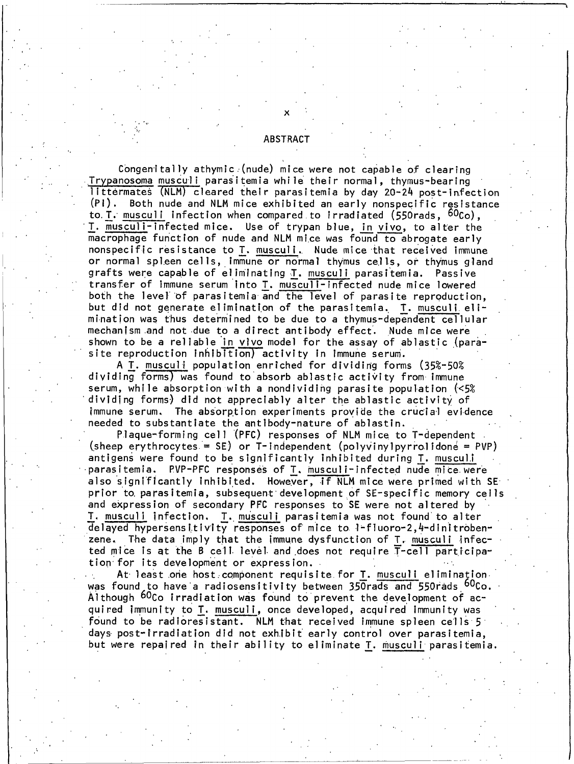#### **ABSTRACT**

Congenitally athymic (nude) mice were not capable of clearing Trypanosoma musculi parasitemia while their normal, thymus-bearing littermates (NLM) cleared their parasitemia by day 20-24 post-infection  $(PI)$ . Both nude and NLM mice exhibited an early nonspecific resistance to T. musculi infection when compared to irradiated  $(550rads, 60c<sub>O</sub>)$ , T. musculi-infected mice. Use of trypan blue, in vivo, to alter the macrophage function of nude and NLM mice was found to abrogate early nonspecific resistance to T. musculi. Nude mice that received immune or normal spleen cells, immune or normal thymus cells, or thymus gland grafts were capable of eliminating T. musculi parasitemia. Passive transfer of Immune serum into T. musculi-infected nude mice lowered both the level of parasitemia and the level of parasite reproduction, but did not generate elimination of the parasitemia. T. musculi elimination was thus determined to be due to a thymus-dependent cellular mechanism and not due to a direct antibody effect. Nude mice were shown to be a reliable in vivo model for the assay of ablastic (parasite reproduction inhibition) activity in immune serum.

A T. musculi population enriched for dividing forms (35%-50% dividing forms) was found to absorb ablastic activity from immune serum, while absorption with a nondividing parasite population (<5%) dividing forms) did not appreciably alter the ablastic activity of immune serum. The absorption experiments provide the crucial evidence needed to substantiate the antibody-nature of ablastin.

Plaque-forming cell (PFC) responses of NLM mice to T-dependent (sheep erythrocytes = SE) or T-independent (polyvinylpyrrolidone = PVP) antigens were found to be significantly inhibited during T. musculi parasitemia. PVP-PFC responses of T. musculi-infected nude mice were also significantly inhibited. However, if NLM mice were primed with SE prior to parasitemia, subsequent development of SE-specific memory cells and expression of secondary PFC responses to SE were not altered by T. musculi infection. T. musculi parasitemia was not found to alter delayed hypersensitivity responses of mice to 1-fluoro-2,4-dinitrobenzene. The data imply that the immune dysfunction of T. musculi infected mice is at the B cell level and does not require T-cell participation for its development or expression.

At least one host component requisite for T. musculi elimination was found to have a radiosensitivity between 350rads and 550rads <sup>60</sup>Co. Although <sup>60</sup>Co irradiation was found to prevent the development of acquired immunity to T. musculi, once developed, acquired immunity was found to be radioresistant. NLM that received immune spleen cells 5 days post-irradiation did not exhibit early control over parasitemia, but were repaired in their ability to eliminate T. musculi parasitemia.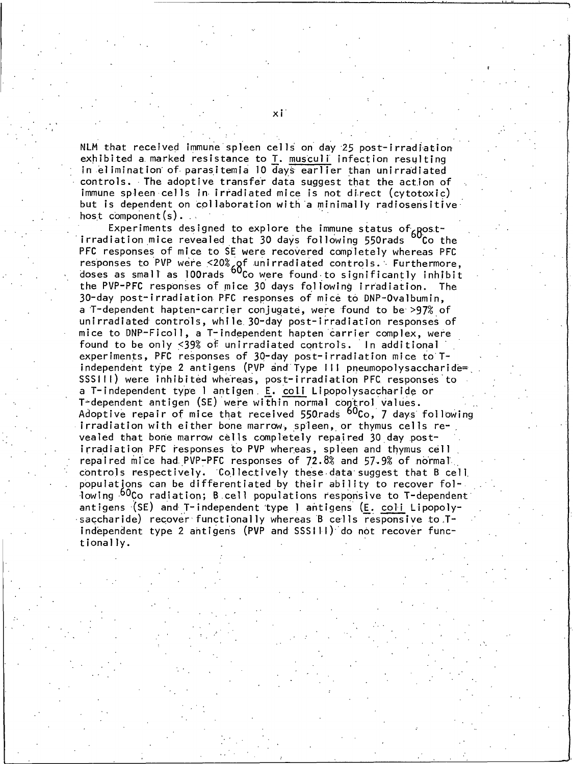NLM that received immune spleen cells on day 25 post-irradiation exhibited a marked resistance to T. musculi infection resulting in elimination of parasitemia 10 days earlier than unirradiated controls. The adoptive transfer data suggest that the action of immune spleen cells in irradiated mice is not direct (cytotoxic) but is dependent on collaboration with a minimally radiosensitive host component  $(s)$ .

Experiments designed to explore the immune status of postirradiation mice revealed that 30 days following 550rads Co the PFC responses of mice to SE were recovered completely whereas PFC responses to PVP were  $\leq 20\%$  of unirradiated controls. Furthermore, doses as small as 100 rads  $60^\circ$  co were found to significantly inhibit the PVP-PFC responses of mice 30 days following irradiation. The 30-day post-irradiation PFC responses of mice to DNP-Ovalbumin, a T-dependent hapten-carrier conjugate, were found to be >97% of unirradiated controls, while 30-day post-irradiation responses of mice to DNP-Ficoll, a T-independent hapten carrier complex, were found to be only <39% of unirradiated controls. In additional experiments, PFC responses of 30-day post-irradiation mice to Tindependent type 2 antigens (PVP and Type III pneumopolysaccharide= SSSIII) were inhibited whereas, post-irradiation PFC responses to a T-independent type I antigen. E. coli Lipopolysaccharide or T-dependent antigen (SE) were within normal control values. Adoptive repair of mice that received 550rads <sup>60</sup>Co, 7 days following irradiation with either bone marrow, spieen, or thymus cells revealed that bone marrow cells completely repaired 30 day postirradiation PFC responses to PVP whereas, spleen and thymus cell repaired mice had PVP-PFC responses of 72.8% and 57.9% of normal. controls respectively. Collectively these data suggest that B cell populations can be differentiated by their ability to recover following <sup>60</sup>Co radiation; B cell populations responsive to T-dependent antigens (SE) and T-independent type I antigens (E. coli Lipopolysaccharide) recover functionally whereas B cells responsive to Tindependent type 2 antigens (PVP and SSSIII) do not recover functionally.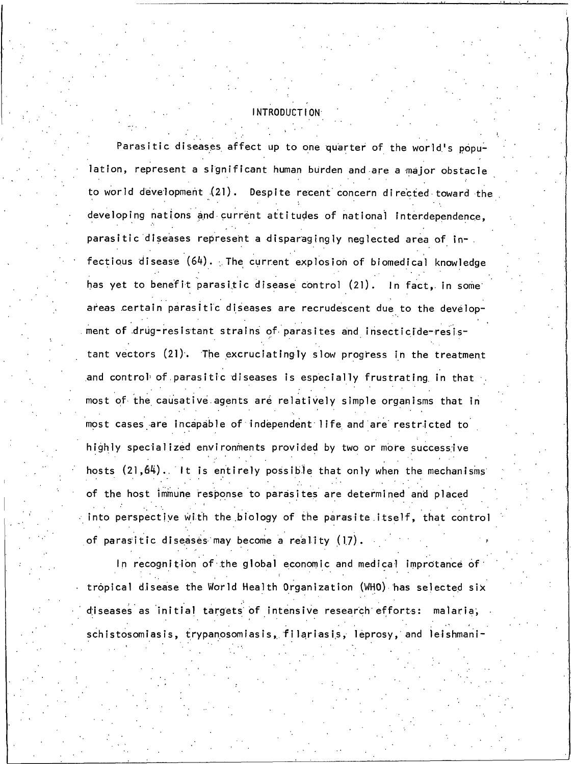#### **INTRODUCTION**

Parasitic diseases affect up to one quarter of the world's population, represent a significant human burden and are a major obstacle to world development (21). Despite recent concern directed toward the developing nations and current attitudes of national interdependence, parasitic diseases represent a disparagingly neglected area of infectious disease (64). The current explosion of biomedical knowledge has yet to benefit parasitic disease control (21). In fact, in some areas certain parasitic diseases are recrudescent due to the development of drug-resistant strains of parasites and insecticide-resistant vectors (21). The excruciatingly slow progress in the treatment and control of parasitic diseases is especially frustrating in that most of the causative agents are relatively simple organisms that in most cases are incapable of independent life and are restricted to highly specialized environments provided by two or more successive hosts (21,64). It is entirely possible that only when the mechanisms of the host immune response to parasites are determined and placed  $\cdot$  into perspective with the biology of the parasite itself, that control of parasitic diseases may become a reality (17).

In recognition of the global economic and medical improtance of tropical disease the World Health Organization (WHO) has selected six diseases as initial targets of intensive research efforts: malaria, schistosomiasis, trypanosomiasis, filariasis, leprosy, and leishmani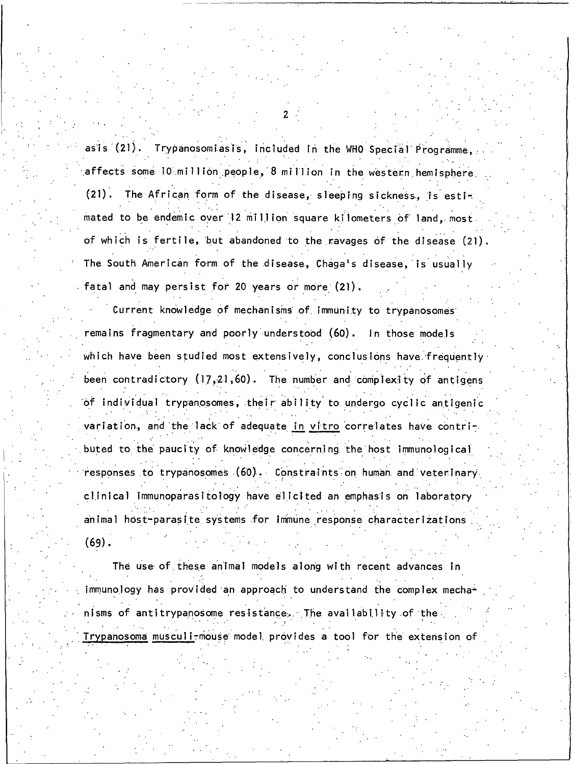asis (21). Trypanosomiasis, included in the WHO Special Programme, affects some 10 million people, 8 million in the western hemisphere

 $(21)$ . The African form of the disease, sleeping sickness, is estimated to be endemic over 12 million square kilometers of land, most of which is fertile, but abandoned to the ravages of the disease (21). The South American form of the disease, Chaga's disease, is usually fatal and may persist for 20 years or more (21).

Current knowledge of mechanisms of immunity to trypanosomes remains fragmentary and poorly understood (60). In those models which have been studied most extensively, conclusions have frequently been contradictory (17,21,60). The number and complexity of antigens of individual trypanosomes, their ability to undergo cyclic antigenic variation, and the lack of adequate in vitro correlates have contributed to the paucity of knowledge concerning the host immunological responses to trypanosomes (60). Constraints on human and veterinary clinical immunoparasitology have elicited an emphasis on laboratory animal host-parasite systems for immune response characterizations  $(69).$ 

The use of these animal models along with recent advances in immunology has provided an approach to understand the complex mechanisms of antitrypanosome resistance. The availability of the Trypanosoma musculi-mouse model provides a tool for the extension of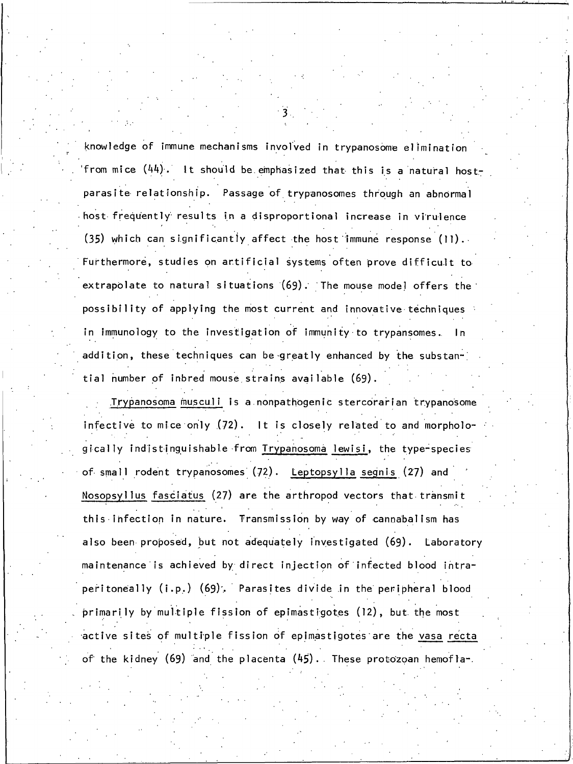knowledge of immune mechanisms involved in trypanosome elimination from mice  $(44)$ . It should be emphasized that this is a natural hostparasite relationship. Passage of trypanosomes through an abnormal host frequently results in a disproportional increase in virulence (35) which can significantly affect the host immune response (11). Furthermore, studies on artificial systems often prove difficult to extrapolate to natural situations (69). The mouse model offers the possibility of applying the most current and innovative techniques in immunology to the investigation of immunity to trypansomes. In addition, these techniques can be greatly enhanced by the substantial number of inbred mouse strains available (69).

Trypanosoma musculi is a nonpathogenic stercorarian trypanosome infective to mice only (72). It is closely related to and morphologically indistinguishable from Trypanosoma lewisi, the type-species of small rodent trypanosomes (72). Leptopsylla segnis (27) and Nosopsyllus fasciatus (27) are the arthropod vectors that transmit this infection in nature. Transmission by way of cannabalism has also been proposed, but not adequately investigated (69). Laboratory maintenance is achieved by direct injection of infected blood intraperitoneally (i.p.) (69). Parasites divide in the peripheral blood primarily by multiple fission of epimastigotes (12), but the most active sites of multiple fission of epimastigotes are the vasa recta of the kidney (69) and the placenta (45). These protozoan hemofla-.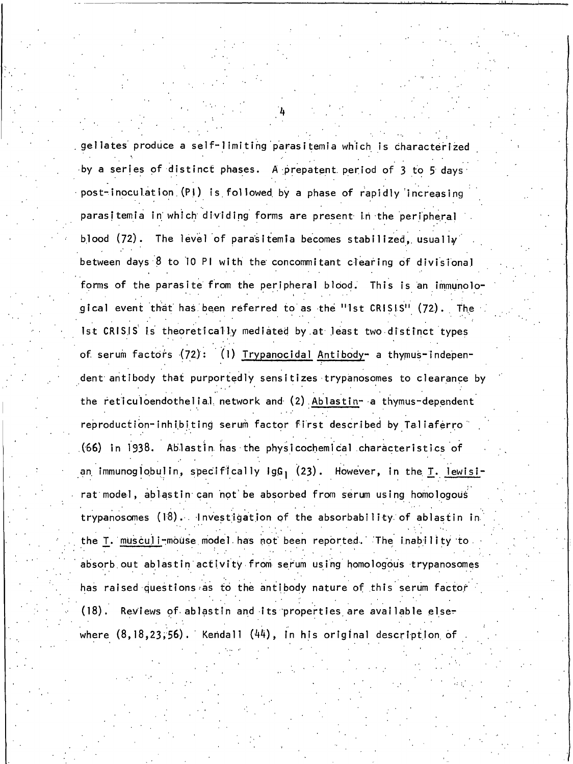gellates produce a self-limiting parasitemia which is characterized by a series of distinct phases. A prepatent period of 3 to 5 days post-inoculation (PI) is followed by a phase of rapidly increasing parasitemia in which dividing forms are present in the peripheral The level of parasitemia becomes stabilized, usually blood  $(72)$ . between days 8 to 10 PI with the concommitant clearing of divisional forms of the parasite from the peripheral blood. This is an immunological event that has been referred to as the "1st CRISIS" (72). The Ist CRISIS is theoretically mediated by at least two distinct types of serum factors  $(72)$ : (1) Trypanocidal Antibody- a thymus-independent antibody that purportedly sensitizes trypanosomes to clearance by the reticuloendothelial network and (2) Ablastin- a thymus-dependent reproduction-inhibiting serum factor first described by Taliaferro (66) in 1938. Ablastin has the physicochemical characteristics of an immunoglobulin, specifically  $\log_1$  (23). However, in the  $\underline{T}$ . lewisirat model, ablastin can not be absorbed from serum using homologous trypanosomes (18). Investigation of the absorbability of ablastin in the T. musculi-mouse model has not been reported. The inability to absorb out ablastin activity from serum using homologous trypanosomes has raised questions as to the antibody nature of this serum factor Reviews of ablastin and its properties are available else- $(18)$ . where  $(8, 18, 23, 56)$ . Kendall  $(44)$ , in his original description of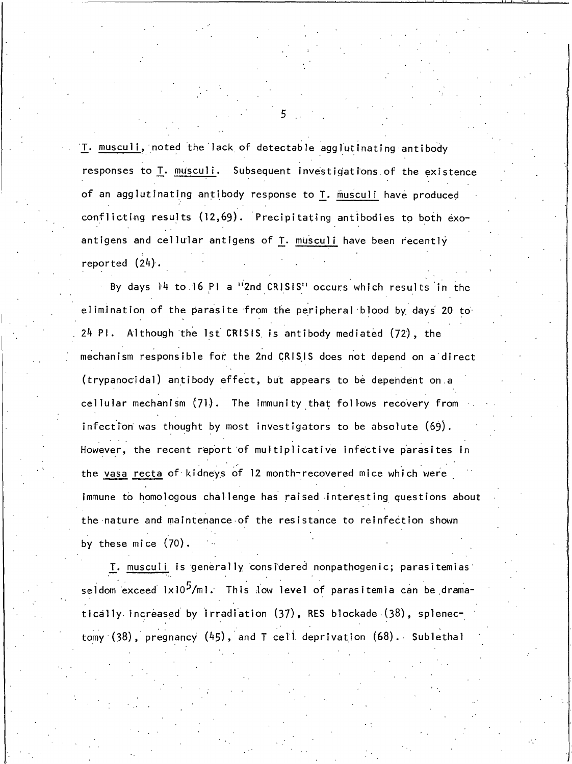T. musculi, noted the lack of detectable agglutinating antibody responses to T. musculi. Subsequent investigations of the existence of an agglutinating antibody response to T. musculi have produced conflicting results (12,69). Precipitating antibodies to both exoantigens and cellular antigens of T. musculi have been recently reported  $(24)$ .

By days 14 to 16 PI a "2nd CRISIS" occurs which results in the elimination of the parasite from the peripheral blood by days 20 to 24 PI. Although the 1st CRISIS is antibody mediated (72), the mechanism responsible for the 2nd CRISIS does not depend on a direct (trypanocidal) antibody effect, but appears to be dependent on a cellular mechanism (71). The immunity that follows recovery from infection was thought by most investigators to be absolute  $(69)$ . However, the recent report of multiplicative infective parasites in the vasa recta of kidneys of 12 month-recovered mice which were immune to homologous challenge has raised interesting questions about the nature and maintenance of the resistance to reinfection shown by these mice  $(70)$ .

T. musculi is generally considered nonpathogenic; parasitemias seldom exceed 1x10<sup>5</sup>/ml. This low level of parasitemia can be dramatically increased by Irradiation (37), RES blockade (38), splenectomy  $(38)$ , pregnancy  $(45)$ , and T cell deprivation  $(68)$ . Sublethal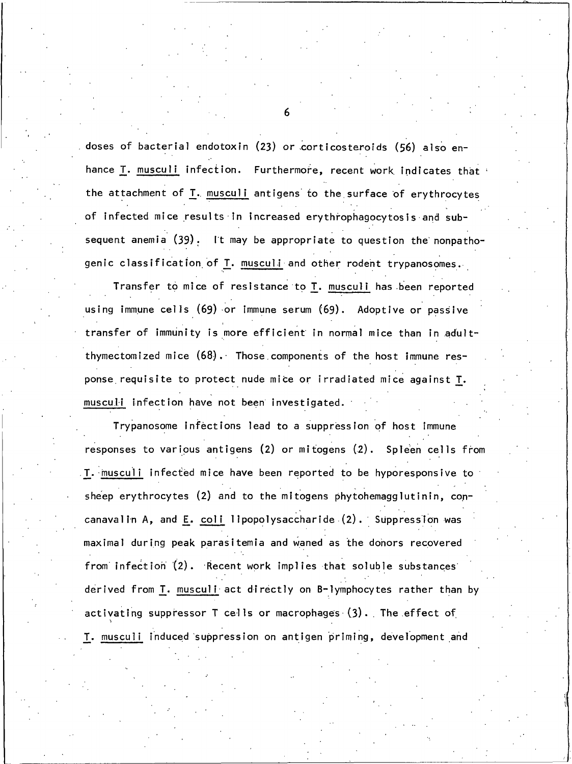doses of bacterial endotoxin (23) or corticosteroids (56) also enhance I. musculi infection. Furthermore, recent work indicates that the attachment of T. musculi antigens to the surface of erythrocytes of infected mice results in increased erythrophagocytosis and subsequent anemia (39). It may be appropriate to question the nonpathogenic classification of T. musculi and other rodent trypanosomes.

Transfer to mice of resistance to T. musculi has been reported using immune cells  $(69)$  or immune serum  $(69)$ . Adoptive or passive transfer of immunity is more efficient in normal mice than in adultthymectomized mice (68). Those components of the host immune response requisite to protect nude mice or irradiated mice against T. musculi infection have not been investigated.

Trypanosome infections lead to a suppression of host immune responses to various antigens (2) or mitogens (2). Spleen cells from T. musculi infected mice have been reported to be hyporesponsive to sheep erythrocytes (2) and to the mitogens phytohemagglutinin, concanavalin A, and E. coli lipopolysaccharide (2). Suppression was maximal during peak parasitemia and waned as the donors recovered from infection (2). Recent work implies that soluble substances derived from T. musculi act directly on B-lymphocytes rather than by activating suppressor  $T$  cells or macrophages  $(3)$ . The effect of T. musculi induced suppression on antigen priming, development and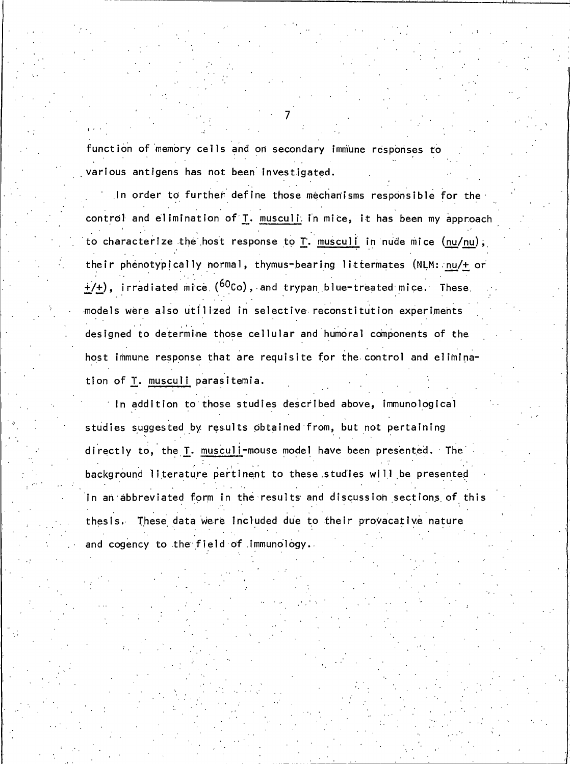function of memory cells and on secondary immune responses to various antigens has not been investigated.

In order to further define those mechanisms responsible for the control and elimination of T. musculi in mice, it has been my approach to characterize the host response to T. musculi in nude mice (nu/nu), their phenotypically normal, thymus-bearing littermates (NLM: nu/+ or  $+(+)$ , irradiated mice ( $^{60}$ Co), and trypan blue-treated mice. These models were also utilized in selective reconstitution experiments designed to determine those cellular and humoral components of the host immune response that are requisite for the control and elimination of T. musculi parasitemia.

In addition to those studies described above, immunological studies suggested by results obtained from, but not pertaining directly to, the T. musculi-mouse model have been presented. The background literature pertinent to these studies will be presented In an abbreviated form in the results and discussion sections of this thesis. These data were included due to their provacative nature and cogency to the field of immunology.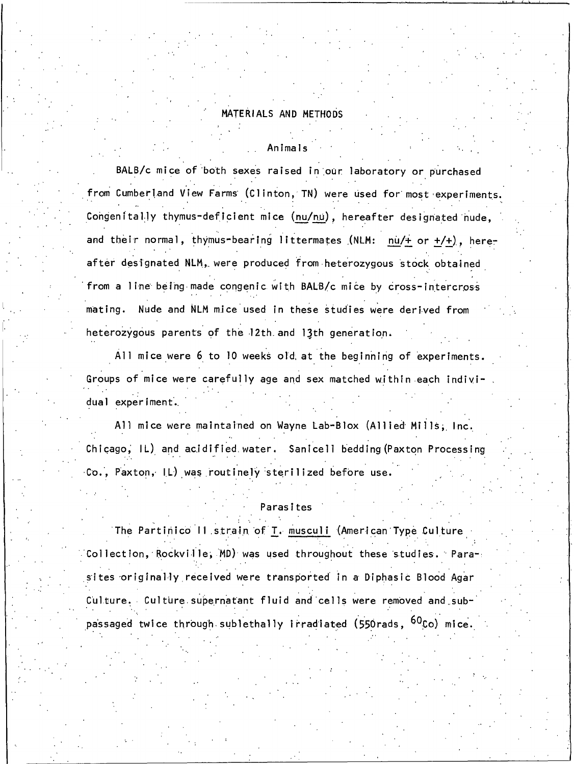### MATERIALS AND METHODS

#### Animals

BALB/c mice of both sexes raised in our laboratory or purchased from Cumberland View Farms (Clinton, TN) were used for most experiments. Congenitally thymus-deficient mice (nu/nu), hereafter designated nude, and their normal, thymus-bearing littermates (NLM: nu/+ or +/+), hereafter designated NLM, were produced from heterozygous stock obtained from a line being made congenic with BALB/c mice by cross-intercross mating. Nude and NLM mice used in these studies were derived from heterozygous parents of the 12th and 13th generation.

All mice were 6 to 10 weeks old at the beginning of experiments. Groups of mice were carefully age and sex matched within each individual experiment.

All mice were maintained on Wayne Lab-Blox (Allied Mills, Inc. Chicago, IL) and acidified water. Sanicell bedding (Paxton Processing Co., Paxton, IL) was routinely sterilized before use.

#### Parasites

The Partinico II strain of T. musculi (American Type Culture  $\sim$  Collection, Rockville, MD) was used throughout these studies. Para-: sites originally received were transported in a Diphasic Blood Agar Culture. Culture supernatant fluid and cells were removed and subpassaged twice through sublethally irradiated (550rads, <sup>60</sup>Co) mice.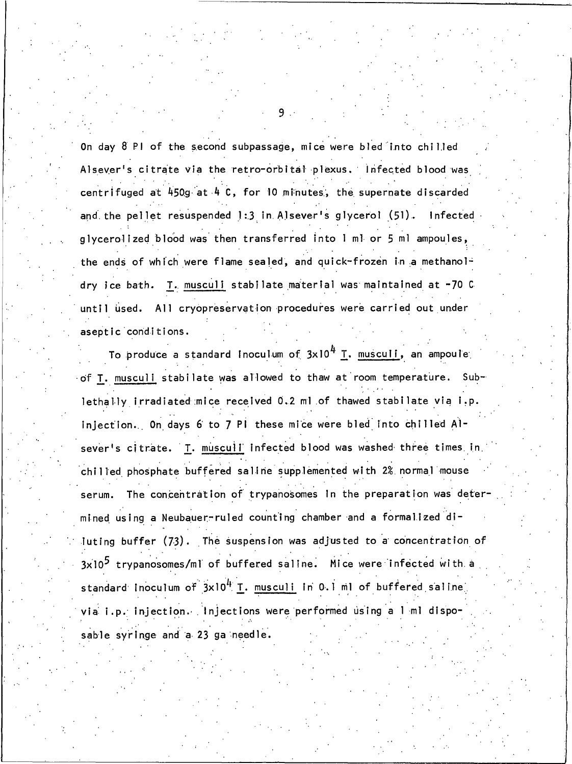On day 8 PI of the second subpassage, mice were bled into chilled Alsever's citrate via the retro-orbital plexus. Infected blood was centrifuged at 450g at 4 C, for 10 minutes, the supernate discarded and the pellet resuspended 1:3 in Alsever's glycerol (51). Infected glycerolized blood was then transferred into I ml or 5 ml ampoules, the ends of which were flame sealed, and quick-frozen in a methanol-T. musculi stabilate material was maintained at -70 C dry ice bath. until used. All cryopreservation procedures were carried out under aseptic conditions.

To produce a standard [noculum of  $3 \times 10^4$  T. musculi, an ampoule of T. musculi stabilate was allowed to thaw at room temperature. Sublethally irradiated mice received 0.2 ml of thawed stabilate via i.p. injection. On days 6 to 7 Pl these mice were bled into chilled Alsever's citrate. T. muscull infected blood was washed three times in chilled phosphate buffered saline supplemented with 2% normal mouse The concentration of trypanosomes in the preparation was deterserum. mined using a Neubauer-ruled counting chamber and a formalized diluting buffer (73). The suspension was adjusted to a concentration of  $3x10^5$  trypanosomes/ml of buffered saline. Mice were infected with a standard inoculum of 3x10<sup>4</sup> I. musculi in 0.1 ml of buffered saline, via i.p. injection. Injections were performed using a 1 ml disposable syringe and a 23 ga needle.

9.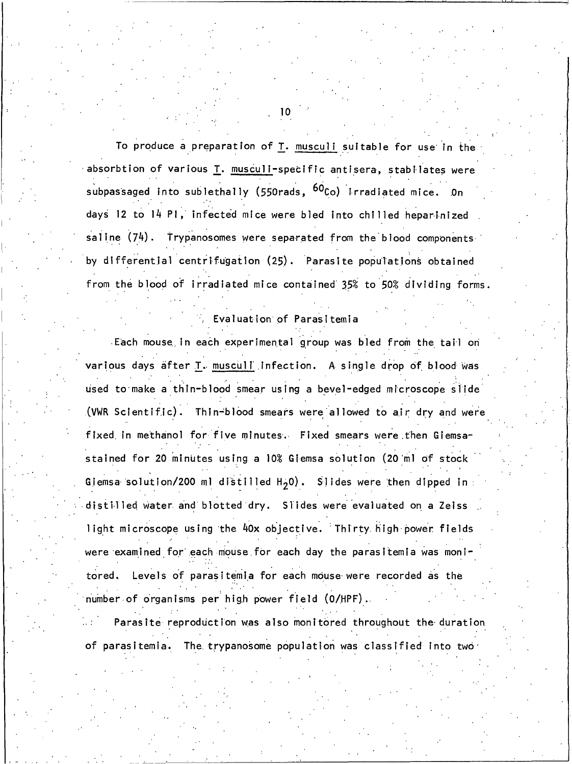To produce a preparation of T. musculi suitable for use in the absorbtion of various T. musculi-specific antisera, stabilates were subpassaged into sublethally (550rads, <sup>60</sup>Co) irradiated mice. On days 12 to 14 Pl, infected mice were bled into chilled heparinized saline  $(74)$ . Trypanosomes were separated from the blood components by differential centrifugation (25). Parasite populations obtained from the blood of irradiated mice contained 35% to 50% dividing forms.

# Evaluation of Parasitemia

Each mouse in each experimental group was bled from the tail on various days after T. muscull infection. A single drop of blood was used to make a thin-blood smear using a bevel-edged microscope slide (VWR Scientific). Thin-blood smears were allowed to air dry and were fixed in methanol for five minutes. Fixed smears were then Giemsastained for 20 minutes using a 10% Giemsa solution (20 ml of stock Giemsa solution/200 ml distilled  $H_{2}0)$ . Slides were then dipped in  $\overline{1}$ distilled water and blotted dry. Slides were evaluated on a Zelss light microscope using the 40x objective. Thirty high power fields were examined for each mouse for each day the parasitemia was monitored. Levels of parasitemia for each mouse were recorded as the number of organisms per high power field (O/HPF).

Parasite reproduction was also monitored throughout the duration of parasitemia. The trypanosome population was classified into two  $\epsilon$ 

 $10<sub>1</sub>$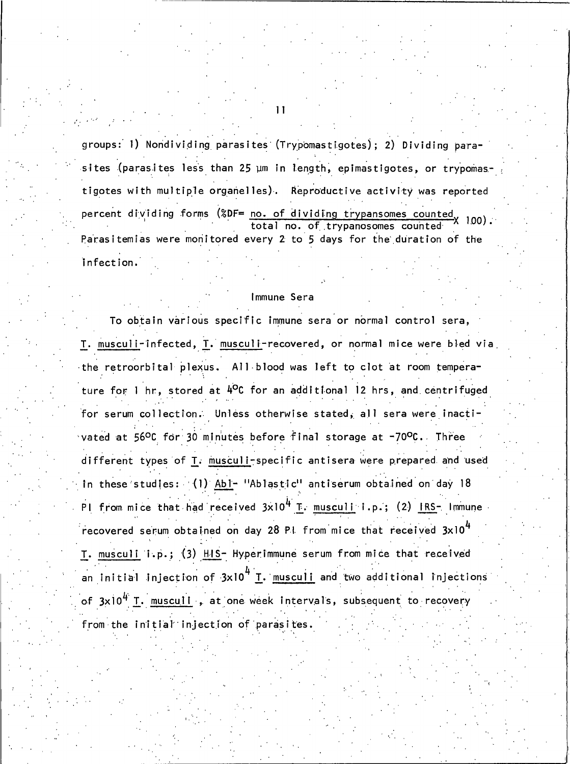groups: 1) Nondividing parasites (Trypomastigotes); 2) Dividing parasites (parasites less than 25 µm in length, epimastigotes, or trypomastigotes with multiple organelles). Reproductive activity was reported percent dividing forms (%DF= no. of dividing trypansomes counted 100). total no. of trypanosomes counted Parasitemias were monitored every 2 to 5 days for the duration of the infection.

#### Immune Sera

To obtain various specific immune sera or normal control sera, T. musculi-infected, T. musculi-recovered, or normal mice were bled via the retroorbital plexus. All blood was left to clot at room temperature for 1 hr, stored at 4<sup>o</sup>C for an additional 12 hrs, and centrifuged for serum collection. Unless otherwise stated, all sera were inactivated at 56°C for 30 minutes before final storage at -70°C. Three different types of T. musculi-specific antisera were prepared and used in these studies: (1) Abl- "Ablastic" antiserum obtained on day 18 Pl from mice that had received  $3x10^4$  T. musculi i.p.; (2) IRS- Immune recovered serum obtained on day 28 PI from mice that received 3x10<sup>4</sup> T. musculi i.p.; (3) HIS- Hyperimmune serum from mice that received an initial injection of  $3\times10^{4}$  T. musculi and two additional injections of 3x10<sup>4</sup> T. musculi, at one week intervals, subsequent to recovery from the initial injection of parasites.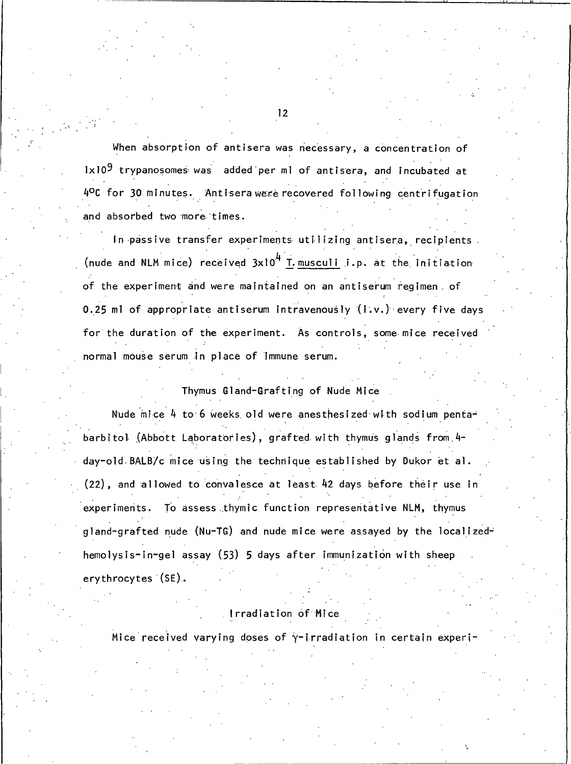When absorption of antisera was necessary, a concentration of 1x10<sup>9</sup> trypanosomes was added per ml of antisera, and incubated at 4ºC for 30 minutes. Antisera were recovered following centrifugation and absorbed two more times.

In passive transfer experiments utilizing antisera, recipients. (nude and NLM mice) received  $3x10^4$  T. musculi i.p. at the initiation of the experiment and were maintained on an antiserum regimen of 0.25 ml of appropriate antiserum intravenously (i.v.) every five days for the duration of the experiment. As controls, some mice received normal mouse serum in place of immune serum.

#### Thymus Gland-Grafting of Nude Mice

Nude mice 4 to 6 weeks old were anesthesized with sodium pentabarbitol (Abbott Laboratories), grafted with thymus glands from 4day-old BALB/c mice using the technique established by Dukor et al. (22), and allowed to convalesce at least 42 days before their use in experiments. To assess thymic function representative NLM, thymus gland-grafted nude (Nu-TG) and nude mice were assayed by the localizedhemolysis-in-gel assay (53) 5 days after immunization with sheep erythrocytes (SE).

# Irradiation of Mice

Mice received varying doses of y-irradiation in certain experi-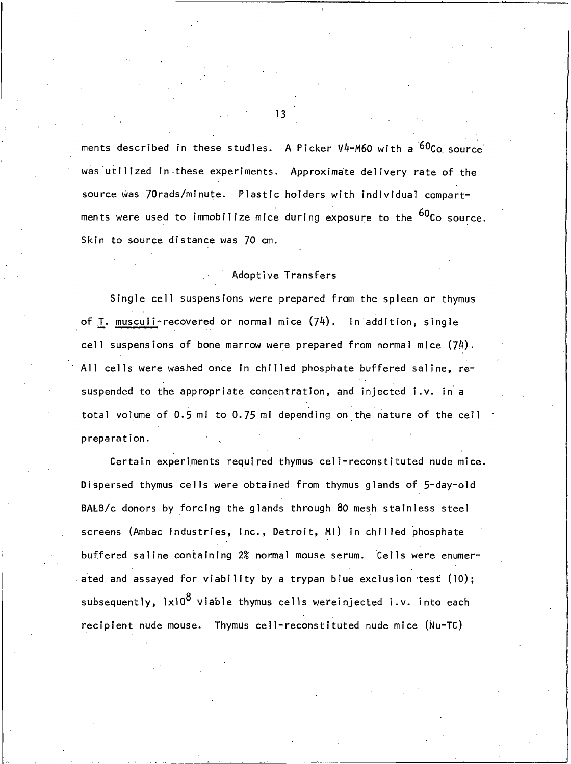ments described in these studies. A Picker V4-M60 with a <sup>60</sup>Co source was utilized in these experiments. Approximate delivery rate of the source was 70rads/minute. Plastic holders with individual compartments were used to immobilize mice during exposure to the <sup>60</sup>Co source. Skin to source distance was 70 cm.

# Adoptive Transfers

Single cell suspensions were prepared from the spleen or thymus of T. musculi-recovered or normal mice  $(74)$ . In addition, single cell suspensions of bone marrow were prepared from normal mice  $(74)$ . All cells were washed once in chilled phosphate buffered saline, resuspended to the appropriate concentration, and injected i.v. in a total volume of 0.5 ml to 0.75 ml depending on the nature of the cell preparation.

Certain experiments required thymus cell-reconstituted nude mice. Dispersed thymus cells were obtained from thymus glands of 5-day-old BALB/c donors by forcing the glands through 80 mesh stainless steel screens (Ambac Industries, Inc., Detroit, MI) in chilled phosphate buffered saline containing 2% normal mouse serum. Cells were enumerated and assayed for viability by a trypan blue exclusion test  $(10)$ ; subsequently,  $1 \times 10^8$  viable thymus cells wereinjected i.v. into each recipient nude mouse. Thymus cell-reconstituted nude mice (Nu-TC)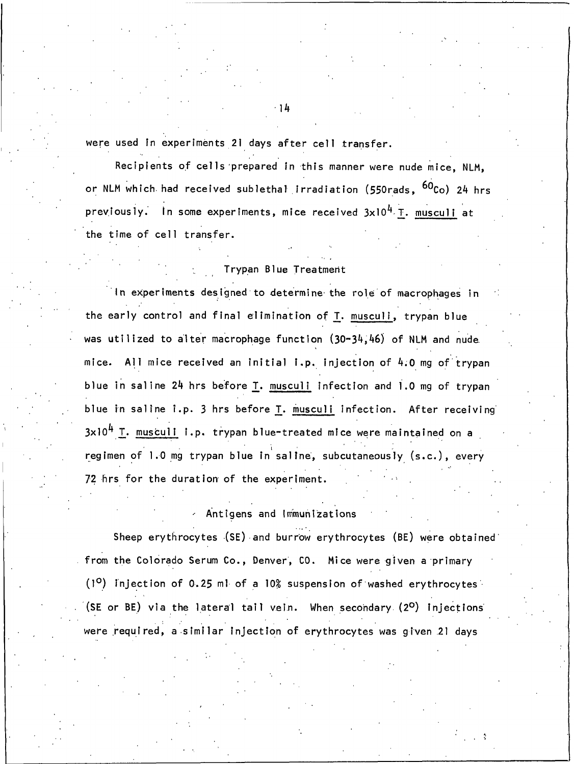were used in experiments 21 days after cell transfer.

Recipients of cells prepared in this manner were nude mice, NLM, or NLM which had received sublethal irradiation (550rads, <sup>60</sup>Co) 24 hrs previously. In some experiments, mice received 3x10<sup>4</sup> T. musculi at the time of cell transfer.

### Trypan Blue Treatment

In experiments designed to determine the role of macrophages in the early control and final elimination of T. musculi, trypan blue was utilized to alter macrophage function (30-34,46) of NLM and nude mice. All mice received an initial i.p. injection of 4.0 mg of trypan blue in saline 24 hrs before T. musculi infection and 1.0 mg of trypan blue in saline i.p. 3 hrs before I. muscull infection. After receiving  $3\times10^{4}$  T. musculi i.p. trypan blue-treated mice were maintained on a regimen of 1.0 mg trypan blue in saline, subcutaneously (s.c.), every 72 hrs for the duration of the experiment.

Antigens and Immunizations

Sheep erythrocytes (SE) and burrow erythrocytes (BE) were obtained from the Colorado Serum Co., Denver, CO. Mice were given a primary  $(1^{\circ})$  injection of 0.25 ml of a 10% suspension of washed erythrocytes (SE or BE) via the lateral tail vein. When secondary (2º) injections were required, a similar injection of erythrocytes was given 21 days

1 ከ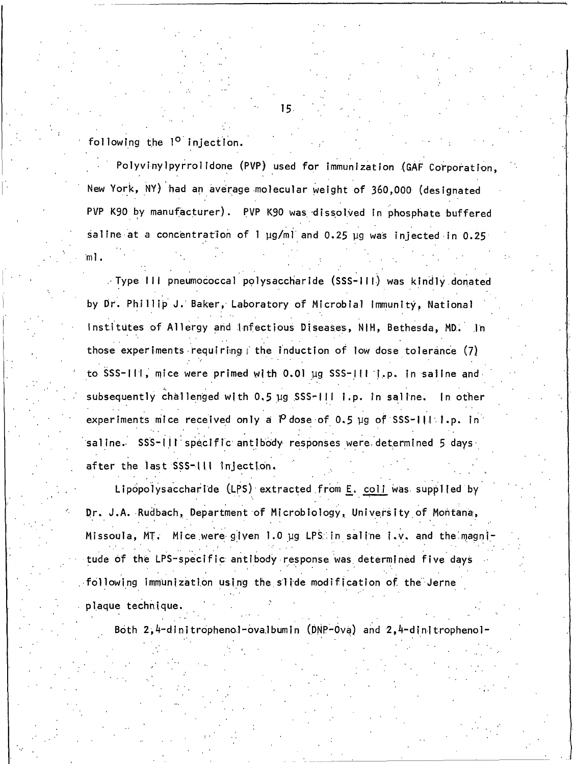following the 1<sup>0</sup> injection.

Polyvinylpyrrolidone (PVP) used for immunization (GAF Corporation, New York, NY) had an average molecular weight of 360,000 (designated PVP K90 by manufacturer). PVP K90 was dissolved in phosphate buffered saline at a concentration of 1 µg/ml and 0.25 µg was injected in 0.25 ml.

Type III pneumococcal polysaccharide (SSS-III) was kindly donated by Dr. Phillip J. Baker, Laboratory of Microbial Immunity, National Institutes of Allergy and Infectious Diseases, NIH, Bethesda, MD. In those experiments requiring the induction of low dose tolerance (7) to SSS-111, mice were primed with 0.01 ug SSS-111 1.p. in saline and subsequently challenged with 0.5 ug SSS-111 1.p. in saline. In other experiments mice received only a  $P$  dose of 0.5 µg of SSS-111 1.p. in saline. SSS-III specific antibody responses were determined 5 days after the last SSS-III injection.

Lipopolysaccharide (LPS) extracted from E. coll was supplied by Dr. J.A. Rudbach, Department of Microbiology, University of Montana, Missoula, MT. Mice were given 1.0 ug LPS in saline i.v. and the magnitude of the LPS-specific antibody response was determined five days following immunization using the silde modification of the Jerne

plaque technique.

Both 2,4-dinitrophenol-ovalbumin (DNP-Ova) and 2,4-dinitrophenol-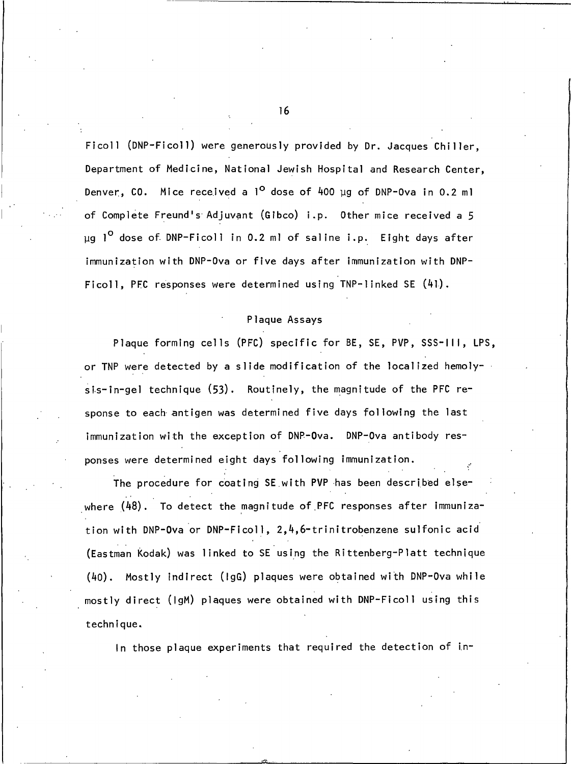Ficoll (DNP-Ficoll) were generously provided by Dr. Jacques Chiller, Department of Medicine, National Jewish Hospital and Research Center, Denver, CO. Mice received a  $1^{\circ}$  dose of 400 µg of DNP-0va in 0.2 ml of Complete Freund's Adjuvant (Gibco) i.p. Other mice received a 5 ug 1<sup>0</sup> dose of DNP-Ficoll in 0.2 ml of saline i.p. Eight days after immunization with DNP-Ova or five days after immunization with DNP-Ficoll, PEC responses were determined using TNP-linked SE (41).

## Plaque Assays

Plaque forming cells (PFC) specific for BE, SE, PVP, SSS-III, LPS, or TNP were detected by a slide modification of the localized hemolysis-in-gel technique (53). Routinely, the magnitude of the PFC response to each antigen was determined five days following the last immunization with the exception of DNP-Ova. DNP-Ova antibody responses were determined eight days following immunization.

The procedure for coating SE with PVP has been described elsewhere  $(48)$ . To detect the magnitude of PFC responses after immunization with DNP-Ova or DNP-Ficoll, 2,4,6-trinitrobenzene sulfonic acid (Eastman Kodak) was linked to SE using the Rittenberg-Platt technique (40). Mostly indirect (1gG) plaques were obtained with DNP-Ova while mostly direct (IgM) plaques were obtained with DNP-Ficoll using this technique.

In those plaque experiments that required the detection of in-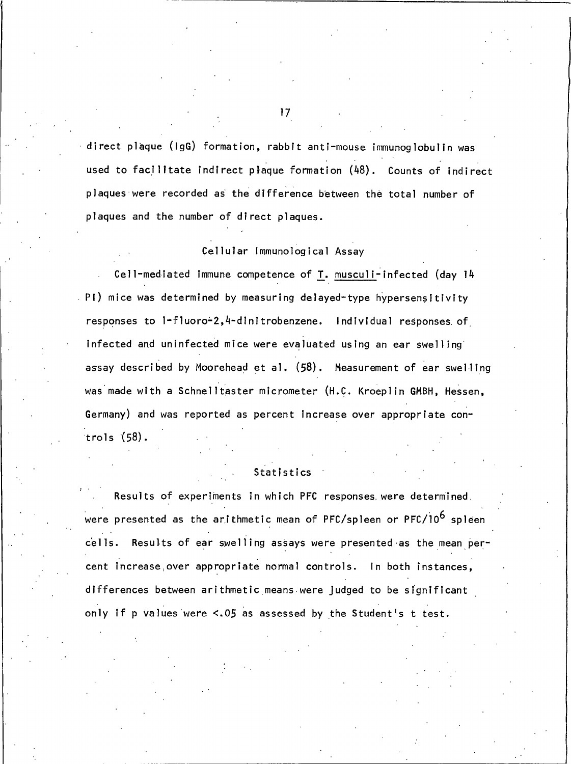$\cdot$  direct plaque (IgG) formation, rabbit anti-mouse immunoglobulin was used to facilitate indirect plaque formation (48). Counts of indirect plaques were recorded as the difference between the total number of plaques and the number of direct plaques.

# Cellular Immunological Assay

Cell-mediated immune competence of T. musculi-infected (day 14 PI) mice was determined by measuring delayed-type hypersensitivity responses to 1-fluoro-2,4-dinitrobenzene. Individual responses of infected and uninfected mice were evaluated using an ear swelling assay described by Moorehead et al. (58). Measurement of ear swelling was made with a Schnelltaster micrometer (H.C. Kroeplin GMBH, Hessen, Germany) and was reported as percent increase over appropriate controls  $(58)$ .

# Statistics

Results of experiments in which PFC responses were determined. were presented as the arithmetic mean of PFC/spleen or PFC/10<sup>6</sup> spleen Results of ear swelling assays were presented as the mean percells. cent increase, over appropriate normal controls. In both instances, differences between arithmetic means were judged to be significant only if p values were <. 05 as assessed by the Student's t test.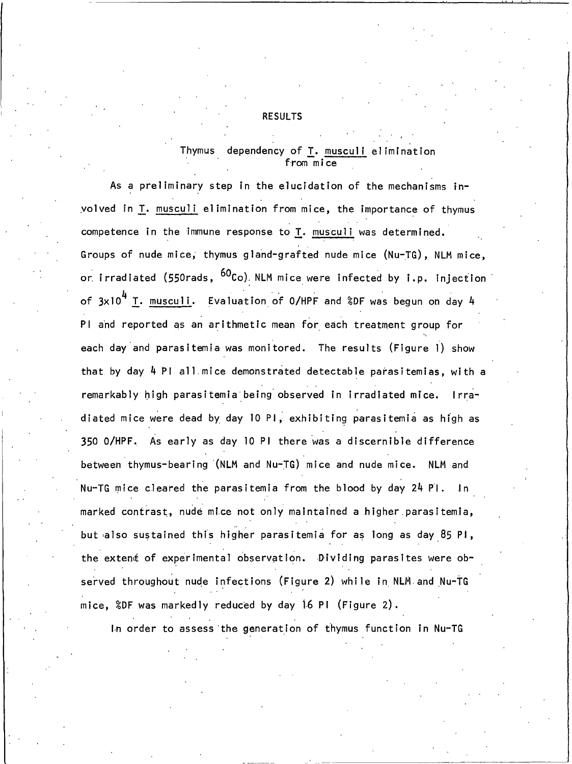#### **RESULTS**

#### Thvmus dependency of T. musculi elimination from mice

As a preliminary step in the elucidation of the mechanisms involved in T. musculi elimination from mice, the importance of thymus competence in the immune response to T. musculi was determined. Groups of nude mice, thymus gland-grafted nude mice (Nu-TG), NLM mice, or irradiated (550rads, <sup>60</sup>Co) NLM mice were infected by i.p. injection of  $3 \times 10^4$  T. musculi. Evaluation of O/HPF and %DF was begun on day 4 PI and reported as an arithmetic mean for each treatment group for each day and parasitemia was monitored. The results (Figure 1) show that by day 4 PI all mice demonstrated detectable parasitemias, with a remarkably high parasitemia being observed in irradiated mice. Irradiated mice were dead by day 10 PI, exhibiting parasitemia as high as 350 O/HPF. As early as day 10 PI there was a discernible difference between thymus-bearing (NLM and Nu-TG) mice and nude mice. NLM and Nu-TG mice cleared the parasitemia from the blood by day 24 Pl.  $\ln$ marked contrast, nude mice not only maintained a higher parasitemia, but also sustained this higher parasitemia for as long as day 85 Pi, the extent of experimental observation. Dividing parasites were observed throughout nude infections (Figure 2) while in NLM and Nu-TG mice, %DF was markedly reduced by day 16 PI (Figure 2).

In order to assess the generation of thymus function in Nu-TG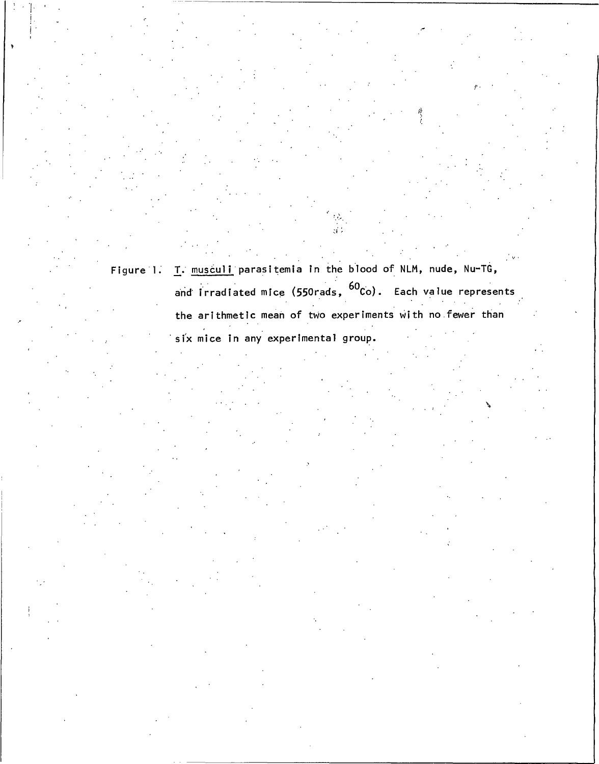Figure 1. T. musculi parasitemia in the blood of NLM, nude, Nu-TG, and irradiated mice (550rads, <sup>60</sup>Co). Each value represents the arithmetic mean of two experiments with no fewer than

six mice in any experimental group.